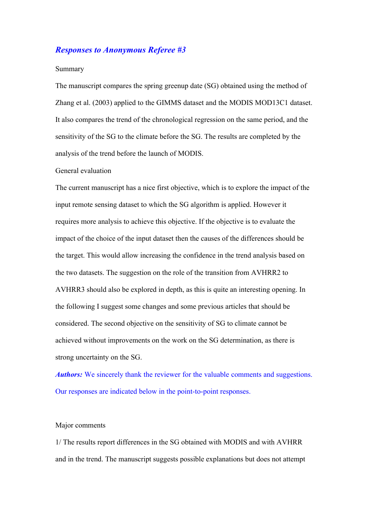# *Responses to Anonymous Referee #3*

#### Summary

The manuscript compares the spring greenup date (SG) obtained using the method of Zhang et al. (2003) applied to the GIMMS dataset and the MODIS MOD13C1 dataset. It also compares the trend of the chronological regression on the same period, and the sensitivity of the SG to the climate before the SG. The results are completed by the analysis of the trend before the launch of MODIS.

## General evaluation

The current manuscript has a nice first objective, which is to explore the impact of the input remote sensing dataset to which the SG algorithm is applied. However it requires more analysis to achieve this objective. If the objective is to evaluate the impact of the choice of the input dataset then the causes of the differences should be the target. This would allow increasing the confidence in the trend analysis based on the two datasets. The suggestion on the role of the transition from AVHRR2 to AVHRR3 should also be explored in depth, as this is quite an interesting opening. In the following I suggest some changes and some previous articles that should be considered. The second objective on the sensitivity of SG to climate cannot be achieved without improvements on the work on the SG determination, as there is strong uncertainty on the SG.

*Authors:* We sincerely thank the reviewer for the valuable comments and suggestions. Our responses are indicated below in the point-to-point responses.

## Major comments

1/ The results report differences in the SG obtained with MODIS and with AVHRR and in the trend. The manuscript suggests possible explanations but does not attempt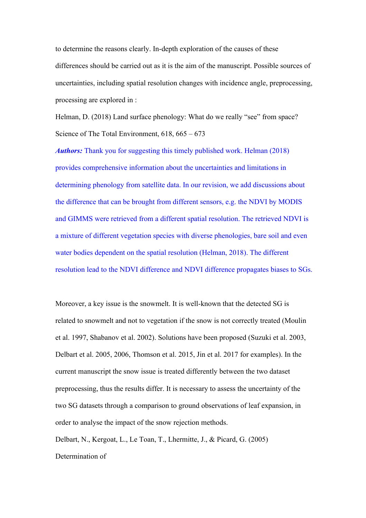to determine the reasons clearly. In-depth exploration of the causes of these differences should be carried out as it is the aim of the manuscript. Possible sources of uncertainties, including spatial resolution changes with incidence angle, preprocessing, processing are explored in :

Helman, D. (2018) Land surface phenology: What do we really "see" from space? Science of The Total Environment, 618, 665 – 673

*Authors:* Thank you for suggesting this timely published work. Helman (2018) provides comprehensive information about the uncertainties and limitations in determining phenology from satellite data. In our revision, we add discussions about the difference that can be brought from different sensors, e.g. the NDVI by MODIS and GIMMS were retrieved from a different spatial resolution. The retrieved NDVI is a mixture of different vegetation species with diverse phenologies, bare soil and even water bodies dependent on the spatial resolution (Helman, 2018). The different resolution lead to the NDVI difference and NDVI difference propagates biases to SGs.

Moreover, a key issue is the snowmelt. It is well-known that the detected SG is related to snowmelt and not to vegetation if the snow is not correctly treated (Moulin et al. 1997, Shabanov et al. 2002). Solutions have been proposed (Suzuki et al. 2003, Delbart et al. 2005, 2006, Thomson et al. 2015, Jin et al. 2017 for examples). In the current manuscript the snow issue is treated differently between the two dataset preprocessing, thus the results differ. It is necessary to assess the uncertainty of the two SG datasets through a comparison to ground observations of leaf expansion, in order to analyse the impact of the snow rejection methods.

Delbart, N., Kergoat, L., Le Toan, T., Lhermitte, J., & Picard, G. (2005) Determination of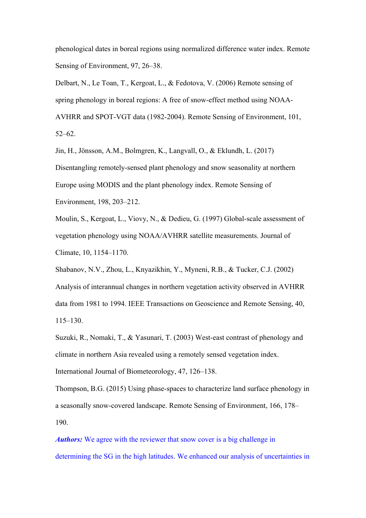phenological dates in boreal regions using normalized difference water index. Remote Sensing of Environment, 97, 26–38.

Delbart, N., Le Toan, T., Kergoat, L., & Fedotova, V. (2006) Remote sensing of spring phenology in boreal regions: A free of snow-effect method using NOAA-AVHRR and SPOT-VGT data (1982-2004). Remote Sensing of Environment, 101, 52–62.

Jin, H., Jönsson, A.M., Bolmgren, K., Langvall, O., & Eklundh, L. (2017) Disentangling remotely-sensed plant phenology and snow seasonality at northern Europe using MODIS and the plant phenology index. Remote Sensing of Environment, 198, 203–212.

Moulin, S., Kergoat, L., Viovy, N., & Dedieu, G. (1997) Global-scale assessment of vegetation phenology using NOAA/AVHRR satellite measurements. Journal of Climate, 10, 1154–1170.

Shabanov, N.V., Zhou, L., Knyazikhin, Y., Myneni, R.B., & Tucker, C.J. (2002) Analysis of interannual changes in northern vegetation activity observed in AVHRR data from 1981 to 1994. IEEE Transactions on Geoscience and Remote Sensing, 40, 115–130.

Suzuki, R., Nomaki, T., & Yasunari, T. (2003) West-east contrast of phenology and climate in northern Asia revealed using a remotely sensed vegetation index. International Journal of Biometeorology, 47, 126–138.

Thompson, B.G. (2015) Using phase-spaces to characterize land surface phenology in a seasonally snow-covered landscape. Remote Sensing of Environment, 166, 178– 190.

*Authors:* We agree with the reviewer that snow cover is a big challenge in determining the SG in the high latitudes. We enhanced our analysis of uncertainties in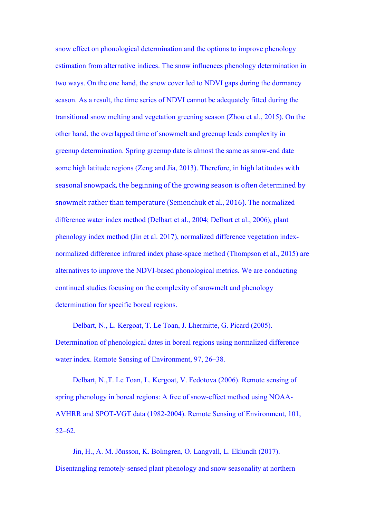snow effect on phonological determination and the options to improve phenology estimation from alternative indices. The snow influences phenology determination in two ways. On the one hand, the snow cover led to NDVI gaps during the dormancy season. As a result, the time series of NDVI cannot be adequately fitted during the transitional snow melting and vegetation greening season (Zhou et al., 2015). On the other hand, the overlapped time of snowmelt and greenup leads complexity in greenup determination. Spring greenup date is almost the same as snow-end date some high latitude regions (Zeng and Jia, 2013). Therefore, in high latitudes with seasonal snowpack, the beginning of the growing season is often determined by snowmelt rather than temperature (Semenchuk et al., 2016). The normalized difference water index method (Delbart et al., 2004; Delbart et al., 2006), plant phenology index method (Jin et al. 2017), normalized difference vegetation indexnormalized difference infrared index phase-space method (Thompson et al., 2015) are alternatives to improve the NDVI-based phonological metrics. We are conducting continued studies focusing on the complexity of snowmelt and phenology determination for specific boreal regions.

Delbart, N., L. Kergoat, T. Le Toan, J. Lhermitte, G. Picard (2005). Determination of phenological dates in boreal regions using normalized difference water index. Remote Sensing of Environment, 97, 26–38.

Delbart, N.,T. Le Toan, L. Kergoat, V. Fedotova (2006). Remote sensing of spring phenology in boreal regions: A free of snow-effect method using NOAA-AVHRR and SPOT-VGT data (1982-2004). Remote Sensing of Environment, 101, 52–62.

Jin, H., A. M. Jönsson, K. Bolmgren, O. Langvall, L. Eklundh (2017). Disentangling remotely-sensed plant phenology and snow seasonality at northern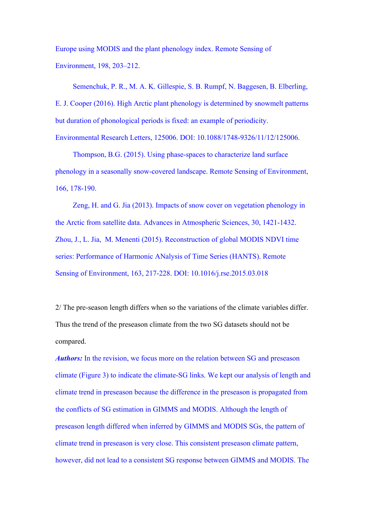Europe using MODIS and the plant phenology index. Remote Sensing of Environment, 198, 203–212.

Semenchuk, P. R., M. A. K. Gillespie, S. B. Rumpf, N. Baggesen, B. Elberling, E. J. Cooper (2016). High Arctic plant phenology is determined by snowmelt patterns but duration of phonological periods is fixed: an example of periodicity. Environmental Research Letters, 125006. DOI: 10.1088/1748-9326/11/12/125006.

Thompson, B.G. (2015). Using phase-spaces to characterize land surface phenology in a seasonally snow-covered landscape. Remote Sensing of Environment, 166, 178-190.

Zeng, H. and G. Jia (2013). Impacts of snow cover on vegetation phenology in the Arctic from satellite data. Advances in Atmospheric Sciences, 30, 1421-1432. Zhou, J., L. Jia, M. Menenti (2015). Reconstruction of global MODIS NDVI time series: Performance of Harmonic ANalysis of Time Series (HANTS). Remote Sensing of Environment, 163, 217-228. DOI: 10.1016/j.rse.2015.03.018

2/ The pre-season length differs when so the variations of the climate variables differ. Thus the trend of the preseason climate from the two SG datasets should not be compared.

*Authors:* In the revision, we focus more on the relation between SG and preseason climate (Figure 3) to indicate the climate-SG links. We kept our analysis of length and climate trend in preseason because the difference in the preseason is propagated from the conflicts of SG estimation in GIMMS and MODIS. Although the length of preseason length differed when inferred by GIMMS and MODIS SGs, the pattern of climate trend in preseason is very close. This consistent preseason climate pattern, however, did not lead to a consistent SG response between GIMMS and MODIS. The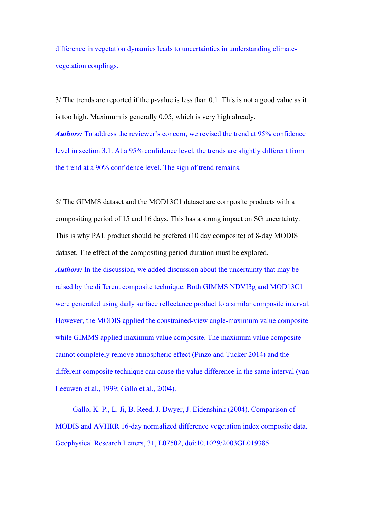difference in vegetation dynamics leads to uncertainties in understanding climatevegetation couplings.

3/ The trends are reported if the p-value is less than 0.1. This is not a good value as it is too high. Maximum is generally 0.05, which is very high already. *Authors:* To address the reviewer's concern, we revised the trend at 95% confidence level in section 3.1. At a 95% confidence level, the trends are slightly different from the trend at a 90% confidence level. The sign of trend remains.

5/ The GIMMS dataset and the MOD13C1 dataset are composite products with a compositing period of 15 and 16 days. This has a strong impact on SG uncertainty. This is why PAL product should be prefered (10 day composite) of 8-day MODIS dataset. The effect of the compositing period duration must be explored. *Authors:* In the discussion, we added discussion about the uncertainty that may be raised by the different composite technique. Both GIMMS NDVI3g and MOD13C1 were generated using daily surface reflectance product to a similar composite interval. However, the MODIS applied the constrained-view angle-maximum value composite while GIMMS applied maximum value composite. The maximum value composite cannot completely remove atmospheric effect (Pinzo and Tucker 2014) and the different composite technique can cause the value difference in the same interval (van Leeuwen et al., 1999; Gallo et al., 2004).

Gallo, K. P., L. Ji, B. Reed, J. Dwyer, J. Eidenshink (2004). Comparison of MODIS and AVHRR 16-day normalized difference vegetation index composite data. Geophysical Research Letters, 31, L07502, doi:10.1029/2003GL019385.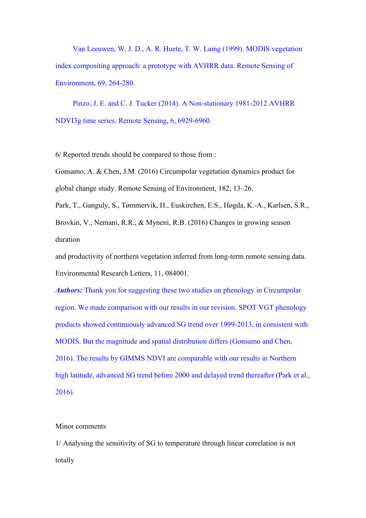Van Leeuwen, W. J. D., A. R. Huete, T. W. Laing (1999). MODIS vegetation index compositing approach: a prototype with AVHRR data. Remote Sensing of Environment, 69, 264-280.

Pinzo, J. E. and C. J. Tucker (2014). A Non-stationary 1981-2012 AVHRR NDVI3g time series. Remote Sensing, 6, 6929-6960.

6/ Reported trends should be compared to those from :

Gonsamo, A. & Chen, J.M. (2016) Circumpolar vegetation dynamics product for global change study. Remote Sensing of Environment, 182, 13–26.

Park, T., Ganguly, S., Tømmervik, H., Euskirchen, E.S., Høgda, K.-A., Karlsen, S.R., Brovkin, V., Nemani, R.R., & Myneni, R.B. (2016) Changes in growing season duration

and productivity of northern vegetation inferred from long-term remote sensing data. Environmental Research Letters, 11, 084001.

*Authors:* Thank you for suggesting these two studies on phenology in Circumpolar region. We made comparison with our results in our revision. SPOT VGT phenology products showed continuously advanced SG trend over 1999-2013, in consistent with MODIS. But the magnitude and spatial distribution differs (Gonsamo and Chen, 2016). The results by GIMMS NDVI are comparable with our results in Northern high latitude, advanced SG trend before 2000 and delayed trend thereafter (Park et al., 2016).

#### Minor comments

1/ Analysing the sensitivity of SG to temperature through linear correlation is not totally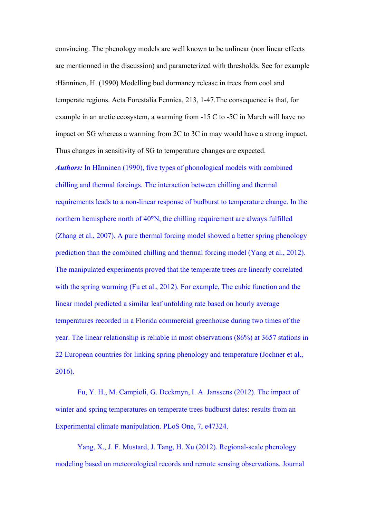convincing. The phenology models are well known to be unlinear (non linear effects are mentionned in the discussion) and parameterized with thresholds. See for example :Hänninen, H. (1990) Modelling bud dormancy release in trees from cool and temperate regions. Acta Forestalia Fennica, 213, 1-47.The consequence is that, for example in an arctic ecosystem, a warming from -15 C to -5C in March will have no impact on SG whereas a warming from 2C to 3C in may would have a strong impact. Thus changes in sensitivity of SG to temperature changes are expected.

*Authors:* In Hänninen (1990), five types of phonological models with combined chilling and thermal forcings. The interaction between chilling and thermal requirements leads to a non-linear response of budburst to temperature change. In the northern hemisphere north of 40**°**N, the chilling requirement are always fulfilled (Zhang et al., 2007). A pure thermal forcing model showed a better spring phenology prediction than the combined chilling and thermal forcing model (Yang et al., 2012). The manipulated experiments proved that the temperate trees are linearly correlated with the spring warming (Fu et al., 2012). For example, The cubic function and the linear model predicted a similar leaf unfolding rate based on hourly average temperatures recorded in a Florida commercial greenhouse during two times of the year. The linear relationship is reliable in most observations (86%) at 3657 stations in 22 European countries for linking spring phenology and temperature (Jochner et al., 2016).

Fu, Y. H., M. Campioli, G. Deckmyn, I. A. Janssens (2012). The impact of winter and spring temperatures on temperate trees budburst dates: results from an Experimental climate manipulation. PLoS One, 7, e47324.

Yang, X., J. F. Mustard, J. Tang, H. Xu (2012). Regional-scale phenology modeling based on meteorological records and remote sensing observations. Journal